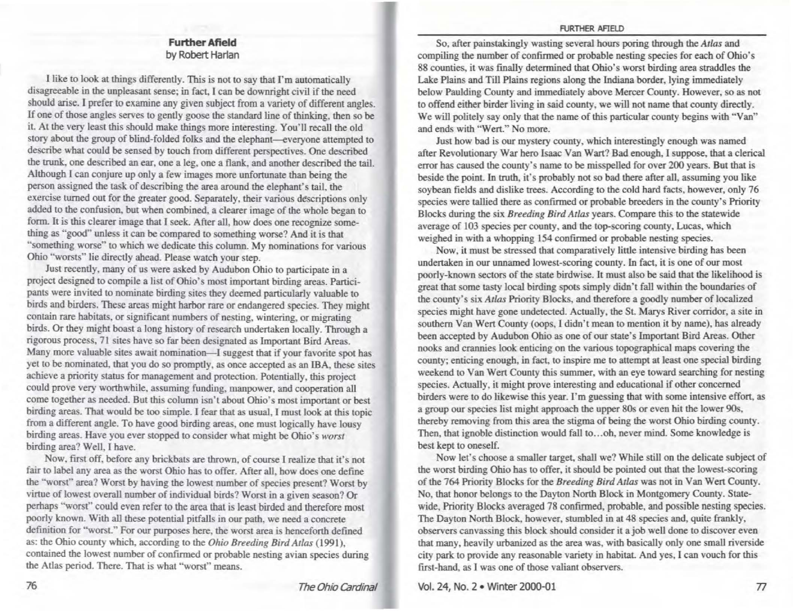## **FURTHER AFIELD**

## **Further Afield**  by Robert Harlan

I like to look at things differently. This is not to say that I'm automatically disagreeable in the unpleasant sense; in fact. I can be downright civil if the need should arise. I prefer to examine any given subject from a variety of different angles. If one of those angles serves to gently goose the standard line of thinking, then so be it. At the very least this should make things more interesting. You'll recall the old story about the group of blind-folded folks and the elephant-everyone attempted to describe what could be sensed by touch from different perspectives. One described the trunk, one described an ear, one a leg, one a flank, and another described the tail. Although I can conjure up only a few images more unfortunate than being the person assigned the task of describing the area around the elephant's tail, the exercise turned out for the greater good. Separately, their various descriptions only added to the confusion, but when combined, a clearer image of the whole began to form. It is this clearer image that I seek. After all, bow does one recognize something as "good" unless it can be compared to something worse? And it is that "something worse" to which we dedicate this column. My nominations for various Ohio "worsts" lie directly ahead. Please watch your step.

Just recently, many of us were asked by Audubon Ohio to participate in a project designed to compile a list of Ohio's most important birding areas. Participants were invited to nominate birding sites they deemed particularly valuable to birds and birders. These areas might harbor rare or endangered species. They might contain rare habitats, or significant numbers of nesting, wintering, or migrating birds. Or they might boast a long history of research undertaken locally. Through a rigorous process, 71 sites have so far been designated as Important Bird Areas. Many more valuable sites await nomination-I suggest that if your favorite spot has yet to be nominated, that you do so promptly, as once accepted as an IBA. these sites achieve a priority status for management and protection. Potentially, this project could prove very worthwhile, assuming funding, manpower, and cooperation all come together as needed. But this column isn't about Ohio's most important or best birding areas. That would be too simple. I fear that as usual, I must look at this topic from a different angle. To have good birding areas. one must logically have lousy birding areas. Have you ever stopped to consider what might be Ohio's *worst*  birding area? Well, I have.

Now. first off, before any brickbats are thrown, of course I realize that it's not fair to label any area as the worst Ohio has to offer. After all, how does one define the "worst" area? Worst by having the lowest number of species present? Worst by virtue of lowest overall number of individual birds? Worst in a given season? Or perhaps "worst" could even refer to the area that is least birded and therefore most poorly known. With all these potential pitfalls in our path. we need a concrete definition for "worst." For our purposes here, the worst area is henceforth defined as: the Ohio county which, according to the *Ohio Breeding Bird Atlas* (1991), contained the lowest number of confirmed or probable nesting avian species during the Atlas period. There. That is what "worst" means.

So, after painstakingly wasting several hours poring through the *Atlas* and compiling the number of confirmed or probable nesting species for each of Ohio's 88 counties, it was finally determined that Ohio's worst birding area straddles the Lake Plains and Till Plains regions along the Indiana border, lying immediately below Paulding County and immediately above Mercer County. However, so as not to offend either birder living in said county, we will not name that county directly. We will politely say only that the name of this particular county begins with "Van" and ends with "Wert." No more.

Just bow bad is our mystery county, which interestingly enough was named after Revolutionary War hero Isaac Van Wart? Bad enough, I suppose, that a clerical error has caused the county's name to be misspelled for over 200 years. But that is beside the point. In truth, it's probably not so bad there after all, assuming you like soybean fields and dislike trees. According to the cold hard facts, however, only 76 species were tallied there as confirmed or probable breeders in the county's Priority Blocks during the six *Breeding Bird Atlas* years. Compare this to the statewide average of 103 species per county, and the top-scoring county, Lucas, which weighed in with a whopping 154 confirmed or probable nesting species.

Now, it must be stressed that comparatively little intensive birding has been undertaken in our unnamed lowest-scoring county. In fact, it is one of our most poorly-known sectors of the state birdwise. It must also be said that the likelihood is great that some tasty local birding spots simply didn't fall within the boundaries of the county's six *Atlas* Priority Blocks, and therefore a goodly number of localized species might have gone undetected. Actually, the St. Marys River corridor, a site in southern Van Wert County (oops, I didn't mean to mention it by name), has already been accepted by Audubon Ohio as one of our state's Important Bird Areas. Other nooks and crannies look enticing on the various topographical maps covering the county; enticing enough, in fact, to inspire me to attempt at least one special birding weekend to Van Wert County this summer, with an eye toward searching for nesting species. Actually, it might prove interesting and educational if other concerned birders were to do likewise this year. I'm guessing that with some intensive effort, as a group our species list might approach the upper 80s or even bit the lower 90s, thereby removing from this area the stigma of being the worst Ohio birding county. Then, that ignoble distinction would fall to ... oh, never mind. Some knowledge is best kept to oneself.

Now let's choose a smaller target, shall we? While still on the delicate subject of the worst birding Ohio bas to offer, it should be pointed out that the lowest-scoring of the 764 Priority Blocks for the *Breeding Bird Atlas* was not in Van Wen County. No, that honor belongs to the Dayton North Block in Montgomery County. Statewide, Priority Blocks averaged 78 confirmed, probable, and possible nesting species. The Dayton North Block, however, stumbled in at 48 species and, quite frankly, observers canvassing this block should consider it a job well done to discover even that many, heavily urbanized as the area was, with basically only one small riverside city park to provide any reasonable variety in habitat And yes. I can vouch for this first-hand, as I was one of those valiant observers.

Vol. 24, No. 2 • Winter 2000-01 n